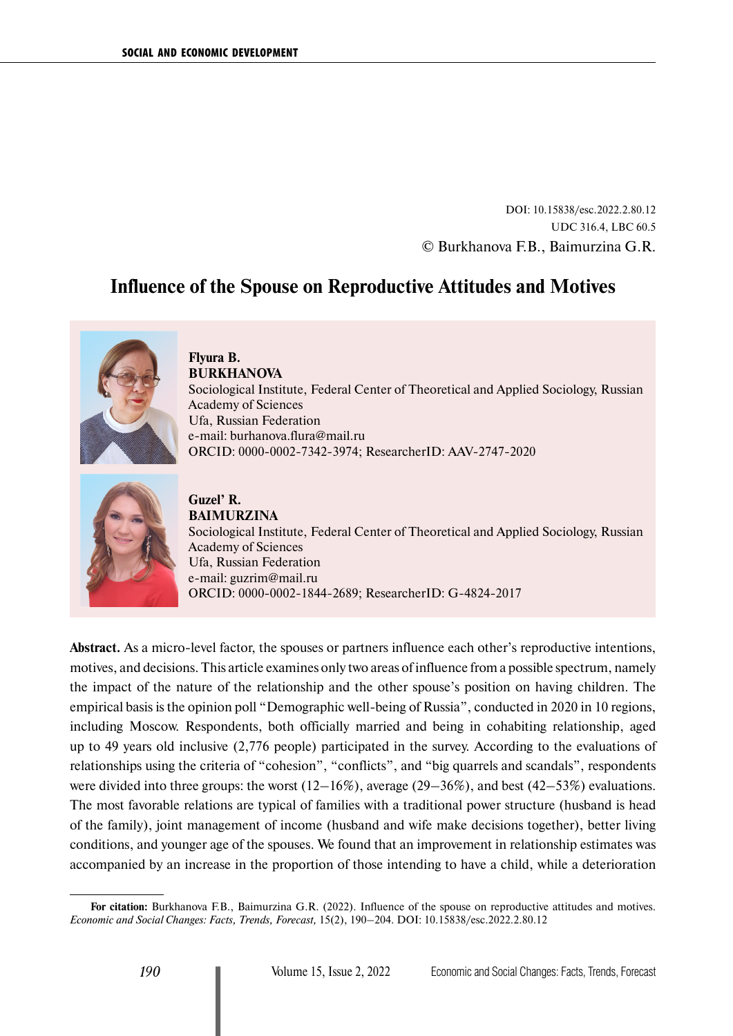DOI: 10.15838/esc.2022.2.80.12 UDC 316.4, LBC 60.5 © Burkhanova F.B., Baimurzina G.R.

# **Influence of the Spouse on Reproductive Attitudes and Motives**



**Flyura B. BURKHANOVA** Sociological Institute, Federal Center of Theoretical and Applied Sociology, Russian Academy of Sciences Ufa, Russian Federation e-mail: [burhanova.flura@mail.ru](mailto:burhanova.flura@mail.ru) ORCID: [0000-0002-7342-3974](https://orcid.org/0000-0002-7342-3974); ResearcherID: [AAV-2747-2020](https://publons.com/researcher/3811192/flura-burhanova/)



**Guzel' R. BAIMURZINA** Sociological Institute, Federal Center of Theoretical and Applied Sociology, Russian Academy of Sciences Ufa, Russian Federation e-mail: [guzrim@mail.ru](mailto:guzrim@mail.ru) ORCID: [0000-0002-1844-2689](https://orcid.org/0000-0002-1844-2689); ResearcherID: [G-4824-2017](https://publons.com/researcher/2120670/guzel-baimurzina/)

**Abstract.** As a micro-level factor, the spouses or partners influence each other's reproductive intentions, motives, and decisions. This article examines only two areas of influence from a possible spectrum, namely the impact of the nature of the relationship and the other spouse's position on having children. The empirical basis is the opinion poll "Demographic well-being of Russia", conducted in 2020 in 10 regions, including Moscow. Respondents, both officially married and being in cohabiting relationship, aged up to 49 years old inclusive (2,776 people) participated in the survey. According to the evaluations of relationships using the criteria of "cohesion", "conflicts", and "big quarrels and scandals", respondents were divided into three groups: the worst  $(12-16\%)$ , average  $(29-36\%)$ , and best  $(42-53\%)$  evaluations. The most favorable relations are typical of families with a traditional power structure (husband is head of the family), joint management of income (husband and wife make decisions together), better living conditions, and younger age of the spouses. We found that an improvement in relationship estimates was accompanied by an increase in the proportion of those intending to have a child, while a deterioration

**For citation:** Burkhanova F.B., Baimurzina G.R. (2022). Influence of the spouse on reproductive attitudes and motives. *Economic and Social Changes: Facts, Trends, Forecast,* 15(2), 190–204. DOI: 10.15838/esc.2022.2.80.12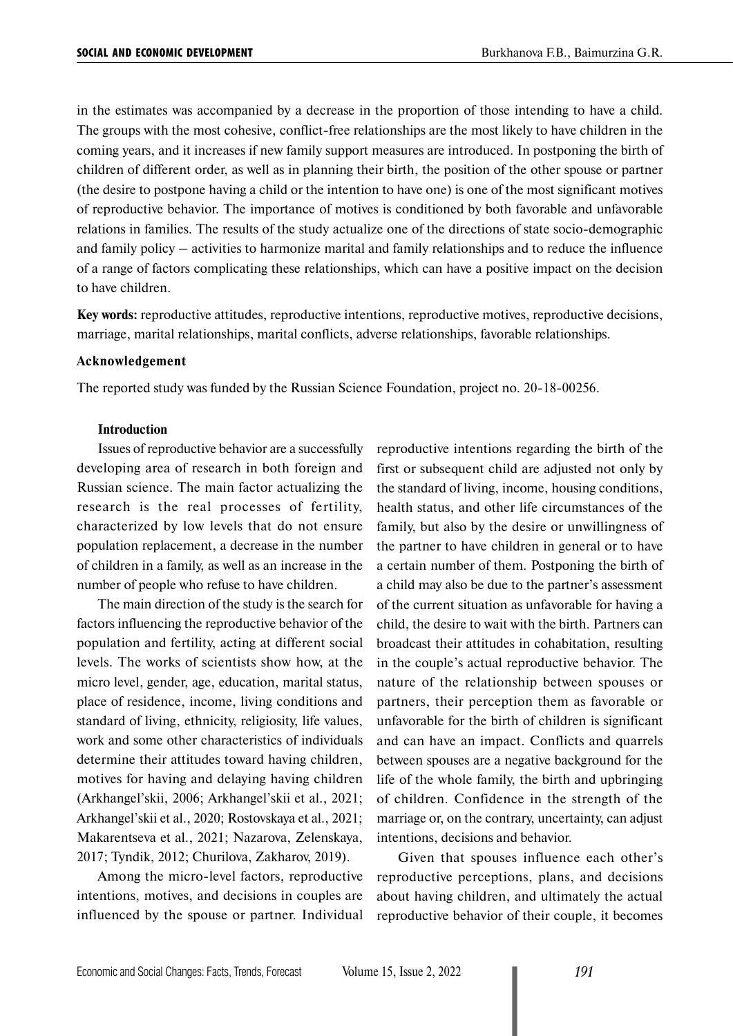in the estimates was accompanied by a decrease in the proportion of those intending to have a child. The groups with the most cohesive, conflict-free relationships are the most likely to have children in the coming years, and it increases if new family support measures are introduced. In postponing the birth of children of different order, as well as in planning their birth, the position of the other spouse or partner (the desire to postpone having a child or the intention to have one) is one of the most significant motives of reproductive behavior. The importance of motives is conditioned by both favorable and unfavorable relations in families. The results of the study actualize one of the directions of state socio-demographic and family policy – activities to harmonize marital and family relationships and to reduce the influence of a range of factors complicating these relationships, which can have a positive impact on the decision to have children.

**Key words:** reproductive attitudes, reproductive intentions, reproductive motives, reproductive decisions, marriage, marital relationships, marital conflicts, adverse relationships, favorable relationships.

#### **Acknowledgement**

The reported study was funded by the Russian Science Foundation, project no. 20-18-00256.

## **Introduction**

Issues of reproductive behavior are a successfully developing area of research in both foreign and Russian science. The main factor actualizing the research is the real processes of fertility, characterized by low levels that do not ensure population replacement, a decrease in the number of children in a family, as well as an increase in the number of people who refuse to have children.

The main direction of the study is the search for factors influencing the reproductive behavior of the population and fertility, acting at different social levels. The works of scientists show how, at the micro level, gender, age, education, marital status, place of residence, income, living conditions and standard of living, ethnicity, religiosity, life values, work and some other characteristics of individuals determine their attitudes toward having children, motives for having and delaying having children (Arkhangel'skii, 2006; Arkhangel'skii et al., 2021; Arkhangel'skii et al., 2020; Rostovskaya et al., 2021; Makarentseva et al., 2021; Nazarova, Zelenskaya, 2017; Tyndik, 2012; Churilova, Zakharov, 2019).

Among the micro-level factors, reproductive intentions, motives, and decisions in couples are influenced by the spouse or partner. Individual reproductive intentions regarding the birth of the first or subsequent child are adjusted not only by the standard of living, income, housing conditions, health status, and other life circumstances of the family, but also by the desire or unwillingness of the partner to have children in general or to have a certain number of them. Postponing the birth of a child may also be due to the partner's assessment of the current situation as unfavorable for having a child, the desire to wait with the birth. Partners can broadcast their attitudes in cohabitation, resulting in the couple's actual reproductive behavior. The nature of the relationship between spouses or partners, their perception them as favorable or unfavorable for the birth of children is significant and can have an impact. Conflicts and quarrels between spouses are a negative background for the life of the whole family, the birth and upbringing of children. Confidence in the strength of the marriage or, on the contrary, uncertainty, can adjust intentions, decisions and behavior.

Given that spouses influence each other's reproductive perceptions, plans, and decisions about having children, and ultimately the actual reproductive behavior of their couple, it becomes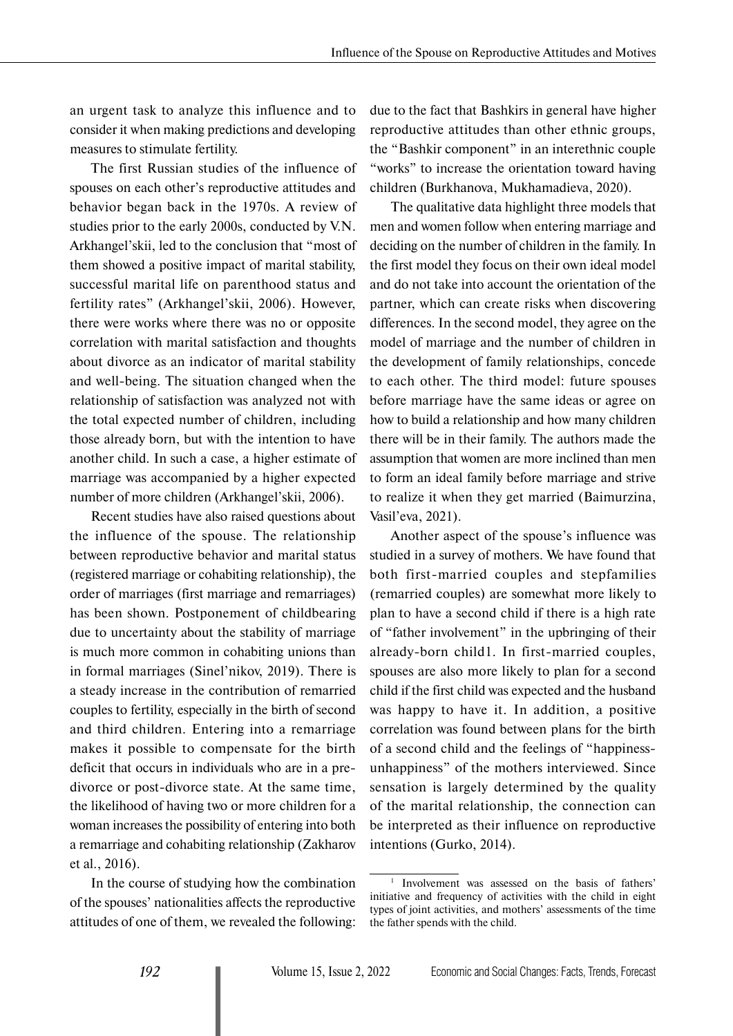an urgent task to analyze this influence and to consider it when making predictions and developing measures to stimulate fertility.

The first Russian studies of the influence of spouses on each other's reproductive attitudes and behavior began back in the 1970s. A review of studies prior to the early 2000s, conducted by V.N. Arkhangel'skii, led to the conclusion that "most of them showed a positive impact of marital stability, successful marital life on parenthood status and fertility rates" (Arkhangel'skii, 2006). However, there were works where there was no or opposite correlation with marital satisfaction and thoughts about divorce as an indicator of marital stability and well-being. The situation changed when the relationship of satisfaction was analyzed not with the total expected number of children, including those already born, but with the intention to have another child. In such a case, a higher estimate of marriage was accompanied by a higher expected number of more children (Arkhangel'skii, 2006).

Recent studies have also raised questions about the influence of the spouse. The relationship between reproductive behavior and marital status (registered marriage or cohabiting relationship), the order of marriages (first marriage and remarriages) has been shown. Postponement of childbearing due to uncertainty about the stability of marriage is much more common in cohabiting unions than in formal marriages (Sinel'nikov, 2019). There is a steady increase in the contribution of remarried couples to fertility, especially in the birth of second and third children. Entering into a remarriage makes it possible to compensate for the birth deficit that occurs in individuals who are in a predivorce or post-divorce state. At the same time, the likelihood of having two or more children for a woman increases the possibility of entering into both a remarriage and cohabiting relationship (Zakharov et al., 2016).

In the course of studying how the combination of the spouses' nationalities affects the reproductive attitudes of one of them, we revealed the following: due to the fact that Bashkirs in general have higher reproductive attitudes than other ethnic groups, the "Bashkir component" in an interethnic couple "works" to increase the orientation toward having children (Burkhanova, Mukhamadieva, 2020).

The qualitative data highlight three models that men and women follow when entering marriage and deciding on the number of children in the family. In the first model they focus on their own ideal model and do not take into account the orientation of the partner, which can create risks when discovering differences. In the second model, they agree on the model of marriage and the number of children in the development of family relationships, concede to each other. The third model: future spouses before marriage have the same ideas or agree on how to build a relationship and how many children there will be in their family. The authors made the assumption that women are more inclined than men to form an ideal family before marriage and strive to realize it when they get married (Baimurzina, Vasil'eva, 2021).

Another aspect of the spouse's influence was studied in a survey of mothers. We have found that both first-married couples and stepfamilies (remarried couples) are somewhat more likely to plan to have a second child if there is a high rate of "father involvement" in the upbringing of their already-born child1. In first-married couples, spouses are also more likely to plan for a second child if the first child was expected and the husband was happy to have it. In addition, a positive correlation was found between plans for the birth of a second child and the feelings of "happinessunhappiness" of the mothers interviewed. Since sensation is largely determined by the quality of the marital relationship, the connection can be interpreted as their influence on reproductive intentions (Gurko, 2014).

<sup>&</sup>lt;sup>1</sup> Involvement was assessed on the basis of fathers' initiative and frequency of activities with the child in eight types of joint activities, and mothers' assessments of the time the father spends with the child.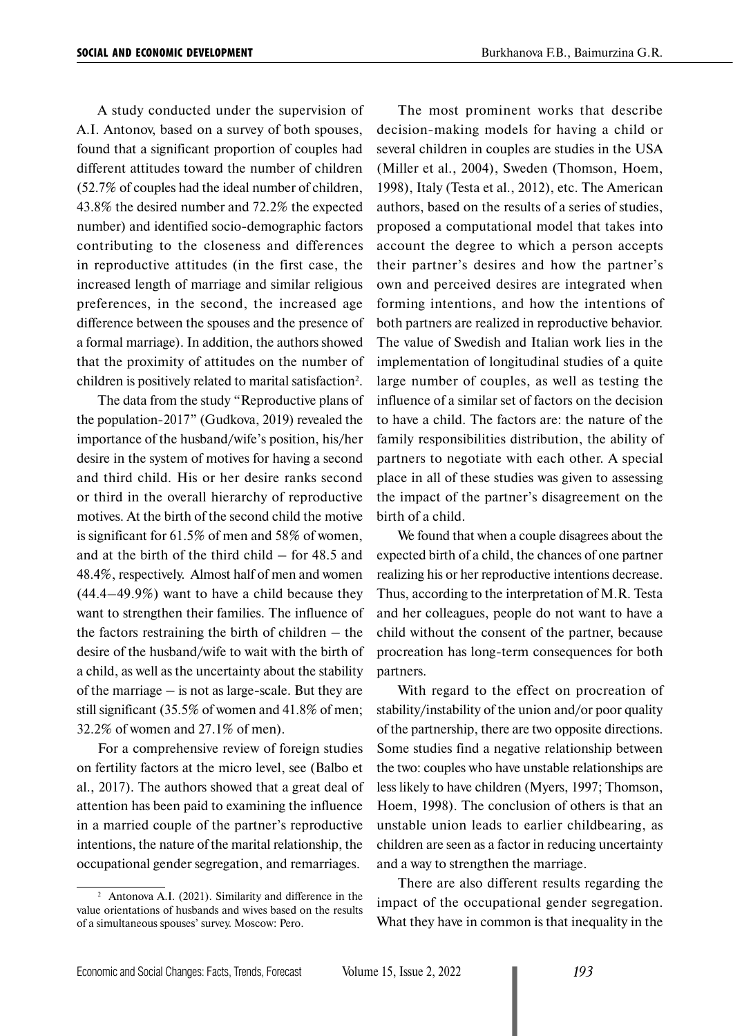A study conducted under the supervision of A.I. Antonov, based on a survey of both spouses, found that a significant proportion of couples had different attitudes toward the number of children (52.7% of couples had the ideal number of children, 43.8% the desired number and 72.2% the expected number) and identified socio-demographic factors contributing to the closeness and differences in reproductive attitudes (in the first case, the increased length of marriage and similar religious preferences, in the second, the increased age difference between the spouses and the presence of a formal marriage). In addition, the authors showed that the proximity of attitudes on the number of children is positively related to marital satisfaction<sup>2</sup>.

The data from the study "Reproductive plans of the population-2017" (Gudkova, 2019) revealed the importance of the husband/wife's position, his/her desire in the system of motives for having a second and third child. His or her desire ranks second or third in the overall hierarchy of reproductive motives. At the birth of the second child the motive is significant for 61.5% of men and 58% of women, and at the birth of the third child – for 48.5 and 48.4%, respectively. Almost half of men and women (44.4–49.9%) want to have a child because they want to strengthen their families. The influence of the factors restraining the birth of children – the desire of the husband/wife to wait with the birth of a child, as well as the uncertainty about the stability of the marriage – is not as large-scale. But they are still significant (35.5% of women and 41.8% of men; 32.2% of women and 27.1% of men).

For a comprehensive review of foreign studies on fertility factors at the micro level, see (Balbo et al., 2017). The authors showed that a great deal of attention has been paid to examining the influence in a married couple of the partner's reproductive intentions, the nature of the marital relationship, the occupational gender segregation, and remarriages.

The most prominent works that describe decision-making models for having a child or several children in couples are studies in the USA (Miller et al., 2004), Sweden (Thomson, Hoem, 1998), Italy (Testa et al., 2012), etc. The American authors, based on the results of a series of studies, proposed a computational model that takes into account the degree to which a person accepts their partner's desires and how the partner's own and perceived desires are integrated when forming intentions, and how the intentions of both partners are realized in reproductive behavior. The value of Swedish and Italian work lies in the implementation of longitudinal studies of a quite large number of couples, as well as testing the influence of a similar set of factors on the decision to have a child. The factors are: the nature of the family responsibilities distribution, the ability of partners to negotiate with each other. A special place in all of these studies was given to assessing the impact of the partner's disagreement on the birth of a child.

We found that when a couple disagrees about the expected birth of a child, the chances of one partner realizing his or her reproductive intentions decrease. Thus, according to the interpretation of M.R. Testa and her colleagues, people do not want to have a child without the consent of the partner, because procreation has long-term consequences for both partners.

With regard to the effect on procreation of stability/instability of the union and/or poor quality of the partnership, there are two opposite directions. Some studies find a negative relationship between the two: couples who have unstable relationships are less likely to have children (Myers, 1997; Thomson, Hoem, 1998). The conclusion of others is that an unstable union leads to earlier childbearing, as children are seen as a factor in reducing uncertainty and a way to strengthen the marriage.

There are also different results regarding the impact of the occupational gender segregation. What they have in common is that inequality in the

<sup>2</sup> Antonova A.I. (2021). Similarity and difference in the value orientations of husbands and wives based on the results of a simultaneous spouses' survey. Moscow: Pero.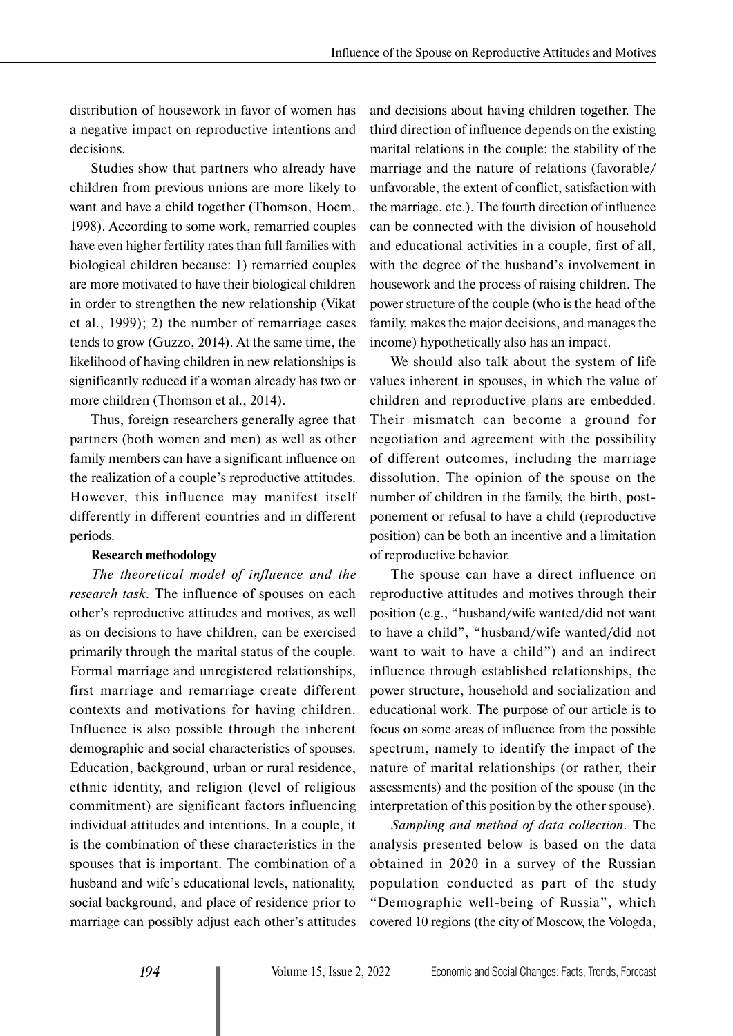distribution of housework in favor of women has a negative impact on reproductive intentions and decisions.

Studies show that partners who already have children from previous unions are more likely to want and have a child together (Thomson, Hoem, 1998). According to some work, remarried couples have even higher fertility rates than full families with biological children because: 1) remarried couples are more motivated to have their biological children in order to strengthen the new relationship (Vikat et al., 1999); 2) the number of remarriage cases tends to grow (Guzzo, 2014). At the same time, the likelihood of having children in new relationships is significantly reduced if a woman already has two or more children (Thomson et al., 2014).

Thus, foreign researchers generally agree that partners (both women and men) as well as other family members can have a significant influence on the realization of a couple's reproductive attitudes. However, this influence may manifest itself differently in different countries and in different periods.

#### **Research methodology**

*The theoretical model of influence and the research task.* The influence of spouses on each other's reproductive attitudes and motives, as well as on decisions to have children, can be exercised primarily through the marital status of the couple. Formal marriage and unregistered relationships, first marriage and remarriage create different contexts and motivations for having children. Influence is also possible through the inherent demographic and social characteristics of spouses. Education, background, urban or rural residence, ethnic identity, and religion (level of religious commitment) are significant factors influencing individual attitudes and intentions. In a couple, it is the combination of these characteristics in the spouses that is important. The combination of a husband and wife's educational levels, nationality, social background, and place of residence prior to marriage can possibly adjust each other's attitudes

and decisions about having children together. The third direction of influence depends on the existing marital relations in the couple: the stability of the marriage and the nature of relations (favorable/ unfavorable, the extent of conflict, satisfaction with the marriage, etc.). The fourth direction of influence can be connected with the division of household and educational activities in a couple, first of all, with the degree of the husband's involvement in housework and the process of raising children. The power structure of the couple (who is the head of the family, makes the major decisions, and manages the income) hypothetically also has an impact.

We should also talk about the system of life values inherent in spouses, in which the value of children and reproductive plans are embedded. Their mismatch can become a ground for negotiation and agreement with the possibility of different outcomes, including the marriage dissolution. The opinion of the spouse on the number of children in the family, the birth, postponement or refusal to have a child (reproductive position) can be both an incentive and a limitation of reproductive behavior.

The spouse can have a direct influence on reproductive attitudes and motives through their position (e.g., "husband/wife wanted/did not want to have a child", "husband/wife wanted/did not want to wait to have a child") and an indirect influence through established relationships, the power structure, household and socialization and educational work. The purpose of our article is to focus on some areas of influence from the possible spectrum, namely to identify the impact of the nature of marital relationships (or rather, their assessments) and the position of the spouse (in the interpretation of this position by the other spouse).

*Sampling and method of data collection.* The analysis presented below is based on the data obtained in 2020 in a survey of the Russian population conducted as part of the study "Demographic well-being of Russia", which covered 10 regions (the city of Moscow, the Vologda,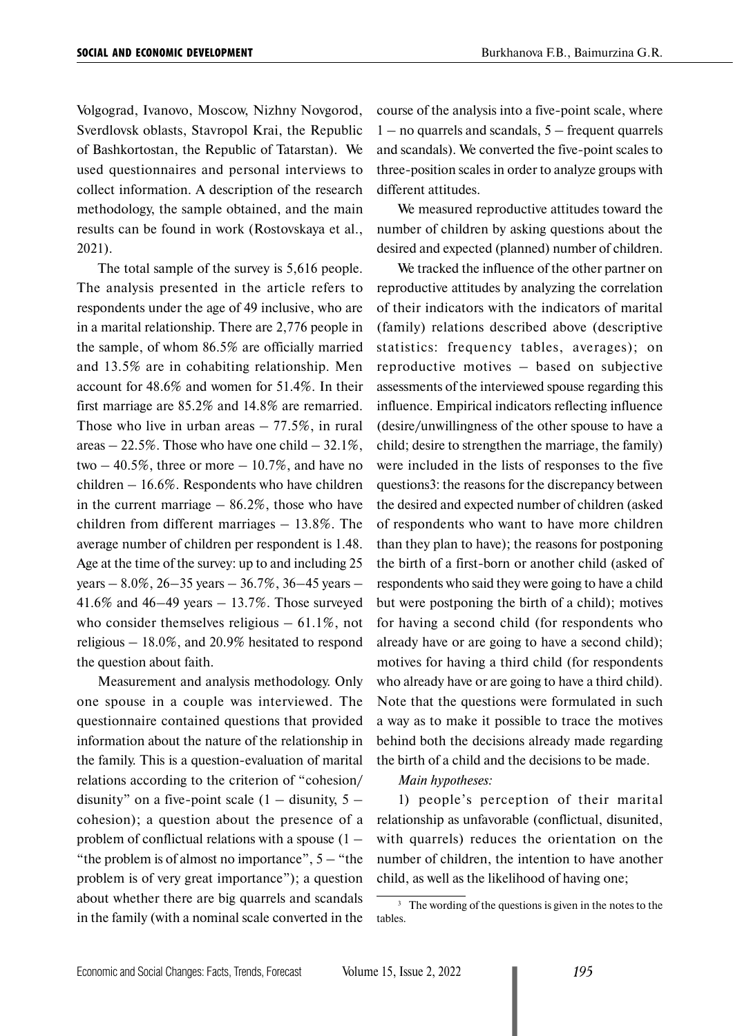Volgograd, Ivanovo, Moscow, Nizhny Novgorod, Sverdlovsk oblasts, Stavropol Krai, the Republic of Bashkortostan, the Republic of Tatarstan). We used questionnaires and personal interviews to collect information. A description of the research methodology, the sample obtained, and the main results can be found in work (Rostovskaya et al., 2021).

The total sample of the survey is 5,616 people. The analysis presented in the article refers to respondents under the age of 49 inclusive, who are in a marital relationship. There are 2,776 people in the sample, of whom 86.5% are officially married and 13.5% are in cohabiting relationship. Men account for 48.6% and women for 51.4%. In their first marriage are 85.2% and 14.8% are remarried. Those who live in urban areas  $-77.5\%$ , in rural areas  $-22.5\%$ . Those who have one child  $-32.1\%$ , two  $-40.5\%$ , three or more  $-10.7\%$ , and have no children – 16.6%. Respondents who have children in the current marriage  $-86.2\%$ , those who have children from different marriages – 13.8%. The average number of children per respondent is 1.48. Age at the time of the survey: up to and including 25 years – 8.0%, 26–35 years – 36.7%, 36–45 years – 41.6% and 46–49 years – 13.7%. Those surveyed who consider themselves religious  $-61.1\%$ , not religious – 18.0%, and 20.9% hesitated to respond the question about faith.

Measurement and analysis methodology. Only one spouse in a couple was interviewed. The questionnaire contained questions that provided information about the nature of the relationship in the family. This is a question-evaluation of marital relations according to the criterion of "cohesion/ disunity" on a five-point scale  $(1 -$  disunity,  $5$ cohesion); a question about the presence of a problem of conflictual relations with a spouse (1 – "the problem is of almost no importance",  $5 -$  "the problem is of very great importance"); a question about whether there are big quarrels and scandals in the family (with a nominal scale converted in the course of the analysis into a five-point scale, where  $1 -$  no quarrels and scandals,  $5 -$  frequent quarrels and scandals). We converted the five-point scales to three-position scales in order to analyze groups with different attitudes.

We measured reproductive attitudes toward the number of children by asking questions about the desired and expected (planned) number of children.

We tracked the influence of the other partner on reproductive attitudes by analyzing the correlation of their indicators with the indicators of marital (family) relations described above (descriptive statistics: frequency tables, averages); on reproductive motives – based on subjective assessments of the interviewed spouse regarding this influence. Empirical indicators reflecting influence (desire/unwillingness of the other spouse to have a child; desire to strengthen the marriage, the family) were included in the lists of responses to the five questions3: the reasons for the discrepancy between the desired and expected number of children (asked of respondents who want to have more children than they plan to have); the reasons for postponing the birth of a first-born or another child (asked of respondents who said they were going to have a child but were postponing the birth of a child); motives for having a second child (for respondents who already have or are going to have a second child); motives for having a third child (for respondents who already have or are going to have a third child). Note that the questions were formulated in such a way as to make it possible to trace the motives behind both the decisions already made regarding the birth of a child and the decisions to be made.

#### *Main hypotheses:*

1) people's perception of their marital relationship as unfavorable (conflictual, disunited, with quarrels) reduces the orientation on the number of children, the intention to have another child, as well as the likelihood of having one;

<sup>&</sup>lt;sup>3</sup> The wording of the questions is given in the notes to the tables.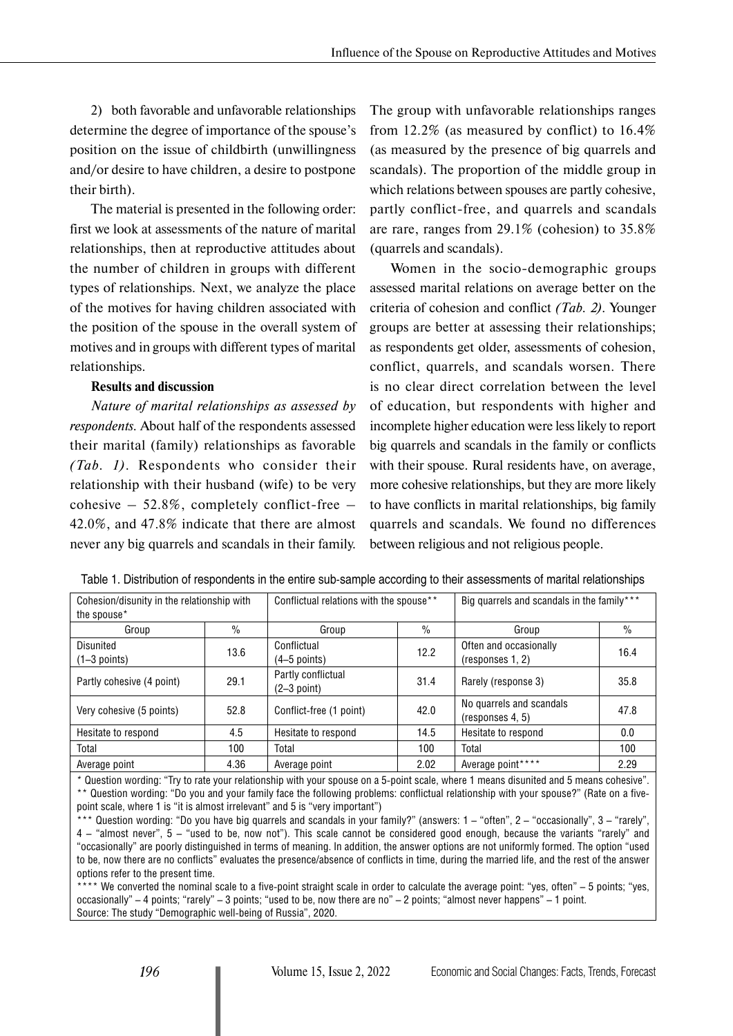2) both favorable and unfavorable relationships determine the degree of importance of the spouse's position on the issue of childbirth (unwillingness and/or desire to have children, a desire to postpone their birth).

The material is presented in the following order: first we look at assessments of the nature of marital relationships, then at reproductive attitudes about the number of children in groups with different types of relationships. Next, we analyze the place of the motives for having children associated with the position of the spouse in the overall system of motives and in groups with different types of marital relationships.

### **Results and discussion**

*Nature of marital relationships as assessed by respondents.* About half of the respondents assessed their marital (family) relationships as favorable *(Tab. 1)*. Respondents who consider their relationship with their husband (wife) to be very cohesive – 52.8%, completely conflict-free – 42.0%, and 47.8% indicate that there are almost never any big quarrels and scandals in their family. The group with unfavorable relationships ranges from 12.2% (as measured by conflict) to 16.4% (as measured by the presence of big quarrels and scandals). The proportion of the middle group in which relations between spouses are partly cohesive, partly conflict-free, and quarrels and scandals are rare, ranges from 29.1% (cohesion) to 35.8% (quarrels and scandals).

Women in the socio-demographic groups assessed marital relations on average better on the criteria of cohesion and conflict *(Tab. 2)*. Younger groups are better at assessing their relationships; as respondents get older, assessments of cohesion, conflict, quarrels, and scandals worsen. There is no clear direct correlation between the level of education, but respondents with higher and incomplete higher education were less likely to report big quarrels and scandals in the family or conflicts with their spouse. Rural residents have, on average, more cohesive relationships, but they are more likely to have conflicts in marital relationships, big family quarrels and scandals. We found no differences between religious and not religious people.

| Cohesion/disunity in the relationship with<br>the spouse* |                                 | Conflictual relations with the spouse** |      | Big quarrels and scandals in the family***   |      |  |
|-----------------------------------------------------------|---------------------------------|-----------------------------------------|------|----------------------------------------------|------|--|
| Group                                                     | $\%$                            | Group                                   | $\%$ | Group                                        | $\%$ |  |
| Disunited<br>$(1-3$ points)                               | 13.6                            | Conflictual<br>$(4-5$ points)           | 12.2 | Often and occasionally<br>(responses 1, 2)   | 16.4 |  |
| Partly cohesive (4 point)                                 | 29.1                            | Partly conflictual<br>$(2-3$ point)     | 31.4 | Rarely (response 3)                          | 35.8 |  |
| Very cohesive (5 points)                                  | 52.8<br>Conflict-free (1 point) |                                         | 42.0 | No quarrels and scandals<br>(responses 4, 5) | 47.8 |  |
| Hesitate to respond                                       | 4.5                             | Hesitate to respond                     | 14.5 | Hesitate to respond                          | 0.0  |  |
| Total                                                     | 100                             | Total                                   | 100  | Total                                        | 100  |  |
| Average point                                             | 4.36                            | Average point                           | 2.02 | Average point****                            | 2.29 |  |

Table 1. Distribution of respondents in the entire sub-sample according to their assessments of marital relationships

*\** Question wording: "Try to rate your relationship with your spouse on a 5-point scale, where 1 means disunited and 5 means cohesive". \*\* Question wording: "Do you and your family face the following problems: conflictual relationship with your spouse?" (Rate on a fivepoint scale, where 1 is "it is almost irrelevant" and 5 is "very important")

Question wording: "Do you have big quarrels and scandals in your family?" (answers: 1 – "often", 2 – "occasionally", 3 – "rarely", 4 – "almost never", 5 – "used to be, now not"). This scale cannot be considered good enough, because the variants "rarely" and "occasionally" are poorly distinguished in terms of meaning. In addition, the answer options are not uniformly formed. The option "used to be, now there are no conflicts" evaluates the presence/absence of conflicts in time, during the married life, and the rest of the answer options refer to the present time.

\*\* We converted the nominal scale to a five-point straight scale in order to calculate the average point: "yes, often" – 5 points: "yes, occasionally" – 4 points; "rarely" – 3 points; "used to be, now there are no" – 2 points; "almost never happens" – 1 point. Source: The study "Demographic well-being of Russia", 2020.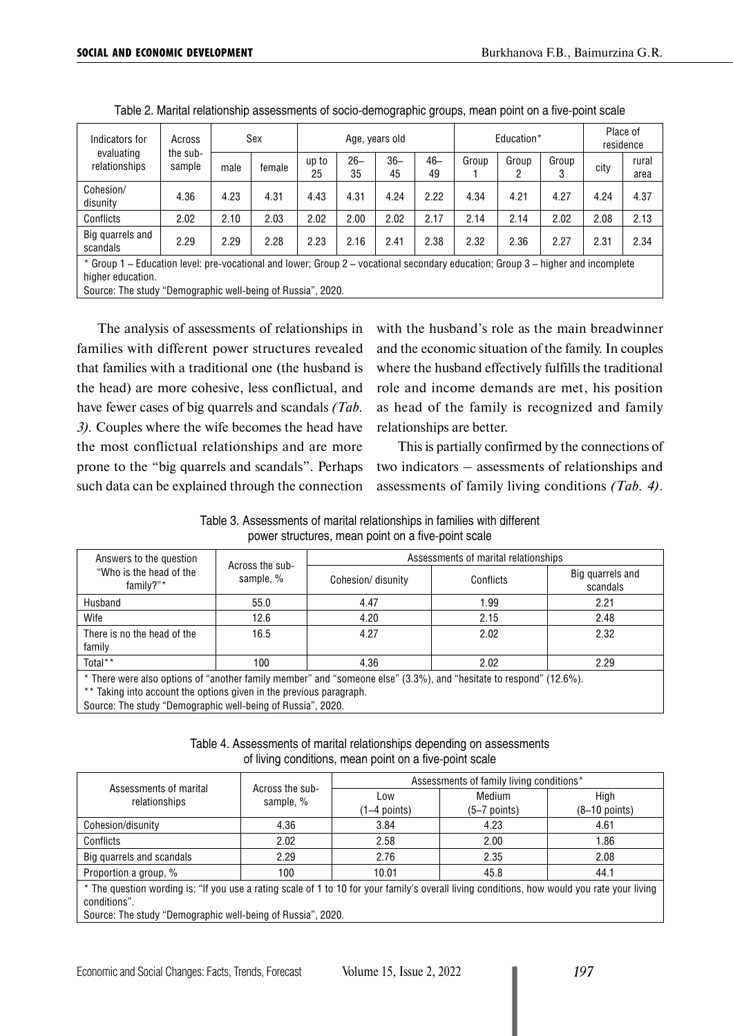| Indicators for<br>evaluating<br>relationships                                                                                    | Across<br>the sub-<br>sample                                | Sex  |        | Age, years old |              |              |              | Education* |            |            | Place of<br>residence |               |
|----------------------------------------------------------------------------------------------------------------------------------|-------------------------------------------------------------|------|--------|----------------|--------------|--------------|--------------|------------|------------|------------|-----------------------|---------------|
|                                                                                                                                  |                                                             | male | female | up to<br>25    | $26 -$<br>35 | $36 -$<br>45 | $46 -$<br>49 | Group      | Group<br>2 | Group<br>3 | city                  | rural<br>area |
| Cohesion/<br>disunity                                                                                                            | 4.36                                                        | 4.23 | 4.31   | 4.43           | 4.31         | 4.24         | 2.22         | 4.34       | 4.21       | 4.27       | 4.24                  | 4.37          |
| Conflicts                                                                                                                        | 2.02                                                        | 2.10 | 2.03   | 2.02           | 2.00         | 2.02         | 2.17         | 2.14       | 2.14       | 2.02       | 2.08                  | 2.13          |
| Big quarrels and<br>scandals                                                                                                     | 2.29                                                        | 2.29 | 2.28   | 2.23           | 2.16         | 2.41         | 2.38         | 2.32       | 2.36       | 2.27       | 2.31                  | 2.34          |
| * Group 1 – Education level: pre-vocational and lower; Group 2 – vocational secondary education; Group 3 – higher and incomplete |                                                             |      |        |                |              |              |              |            |            |            |                       |               |
| higher education.                                                                                                                |                                                             |      |        |                |              |              |              |            |            |            |                       |               |
|                                                                                                                                  | Source: The study "Demographic well-being of Russia", 2020. |      |        |                |              |              |              |            |            |            |                       |               |

Table 2. Marital relationship assessments of socio-demographic groups, mean point on a five-point scale

The analysis of assessments of relationships in families with different power structures revealed that families with a traditional one (the husband is the head) are more cohesive, less conflictual, and have fewer cases of big quarrels and scandals *(Tab. 3).* Couples where the wife becomes the head have the most conflictual relationships and are more prone to the "big quarrels and scandals". Perhaps such data can be explained through the connection with the husband's role as the main breadwinner and the economic situation of the family. In couples where the husband effectively fulfills the traditional role and income demands are met, his position as head of the family is recognized and family relationships are better.

This is partially confirmed by the connections of two indicators – assessments of relationships and assessments of family living conditions *(Tab. 4)*.

| Table 3. Assessments of marital relationships in families with different |  |
|--------------------------------------------------------------------------|--|
| power structures, mean point on a five-point scale                       |  |

| Answers to the question                                                                                                                                                                   | Across the sub- | Assessments of marital relationships |           |                              |  |  |  |  |
|-------------------------------------------------------------------------------------------------------------------------------------------------------------------------------------------|-----------------|--------------------------------------|-----------|------------------------------|--|--|--|--|
| "Who is the head of the<br>family?"*                                                                                                                                                      | sample, %       | Cohesion/disunity                    | Conflicts | Big quarrels and<br>scandals |  |  |  |  |
| Husband                                                                                                                                                                                   | 55.0            | 4.47                                 | 1.99      | 2.21                         |  |  |  |  |
| Wife                                                                                                                                                                                      | 12.6            | 4.20                                 | 2.15      | 2.48                         |  |  |  |  |
| There is no the head of the<br>family                                                                                                                                                     | 16.5            | 4.27                                 | 2.02      | 2.32                         |  |  |  |  |
| Total**                                                                                                                                                                                   | 100             | 4.36                                 | 2.02      | 2.29                         |  |  |  |  |
| * There were also options of "another family member" and "someone else" (3.3%), and "hesitate to respond" (12.6%).<br>** Taking into account the options given in the previous paragraph. |                 |                                      |           |                              |  |  |  |  |

Source: The study "Demographic well-being of Russia", 2020.

Table 4. Assessments of marital relationships depending on assessments of living conditions, mean point on a five-point scale

| Assessments of marital                                                                                                                                                                                                      |                              | Assessments of family living conditions* |                        |                         |  |  |  |  |  |
|-----------------------------------------------------------------------------------------------------------------------------------------------------------------------------------------------------------------------------|------------------------------|------------------------------------------|------------------------|-------------------------|--|--|--|--|--|
| relationships                                                                                                                                                                                                               | Across the sub-<br>sample, % | Low<br>(1–4 points)                      | Medium<br>(5–7 points) | High<br>$(8-10$ points) |  |  |  |  |  |
| Cohesion/disunity                                                                                                                                                                                                           | 4.36                         | 3.84                                     | 4.23                   | 4.61                    |  |  |  |  |  |
| Conflicts                                                                                                                                                                                                                   | 2.02                         | 2.58                                     | 2.00                   | 1.86                    |  |  |  |  |  |
| Big quarrels and scandals                                                                                                                                                                                                   | 2.29                         | 2.76                                     | 2.35                   | 2.08                    |  |  |  |  |  |
| Proportion a group, %                                                                                                                                                                                                       | 100                          | 10.01                                    | 45.8                   | 44.1                    |  |  |  |  |  |
| * The question wording is: "If you use a rating scale of 1 to 10 for your family's overall living conditions, how would you rate your living<br>conditions".<br>Source: The study "Demographic well-being of Russia", 2020. |                              |                                          |                        |                         |  |  |  |  |  |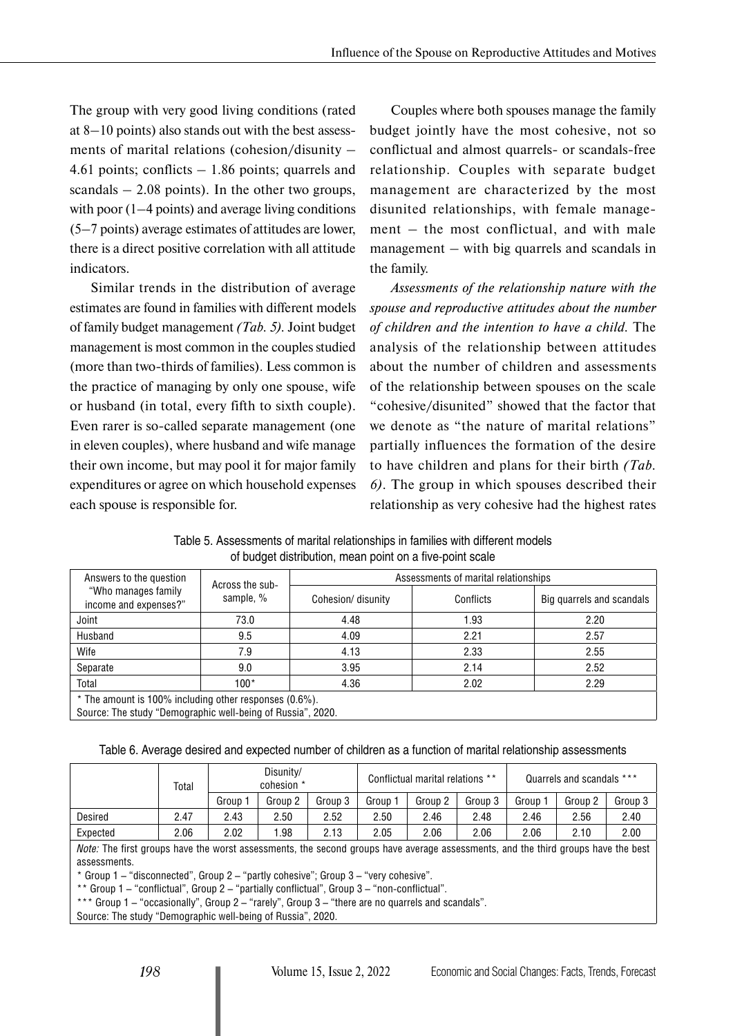The group with very good living conditions (rated at 8–10 points) also stands out with the best assessments of marital relations (cohesion/disunity – 4.61 points; conflicts – 1.86 points; quarrels and scandals  $-2.08$  points). In the other two groups, with poor (1–4 points) and average living conditions (5–7 points) average estimates of attitudes are lower, there is a direct positive correlation with all attitude indicators.

Similar trends in the distribution of average estimates are found in families with different models of family budget management *(Tab. 5).* Joint budget management is most common in the couples studied (more than two-thirds of families). Less common is the practice of managing by only one spouse, wife or husband (in total, every fifth to sixth couple). Even rarer is so-called separate management (one in eleven couples), where husband and wife manage their own income, but may pool it for major family expenditures or agree on which household expenses each spouse is responsible for.

Couples where both spouses manage the family budget jointly have the most cohesive, not so conflictual and almost quarrels- or scandals-free relationship. Couples with separate budget management are characterized by the most disunited relationships, with female management – the most conflictual, and with male management – with big quarrels and scandals in the family.

*Assessments of the relationship nature with the spouse and reproductive attitudes about the number of children and the intention to have a child.* The analysis of the relationship between attitudes about the number of children and assessments of the relationship between spouses on the scale "cohesive/disunited" showed that the factor that we denote as "the nature of marital relations" partially influences the formation of the desire to have children and plans for their birth *(Tab. 6)*. The group in which spouses described their relationship as very cohesive had the highest rates

| Table 5. Assessments of marital relationships in families with different models |  |
|---------------------------------------------------------------------------------|--|
| of budget distribution, mean point on a five-point scale                        |  |

| Answers to the question                                | Across the sub-                                             | Assessments of marital relationships |           |                           |  |  |  |  |  |  |
|--------------------------------------------------------|-------------------------------------------------------------|--------------------------------------|-----------|---------------------------|--|--|--|--|--|--|
| "Who manages family<br>income and expenses?"           | sample, %                                                   | Cohesion/ disunity                   | Conflicts | Big quarrels and scandals |  |  |  |  |  |  |
| Joint                                                  | 73.0                                                        | 4.48                                 | 1.93      | 2.20                      |  |  |  |  |  |  |
| Husband                                                | 9.5                                                         | 4.09                                 | 2.21      | 2.57                      |  |  |  |  |  |  |
| Wife                                                   | 7.9                                                         | 4.13                                 | 2.33      | 2.55                      |  |  |  |  |  |  |
| Separate                                               | 9.0                                                         | 3.95                                 | 2.14      | 2.52                      |  |  |  |  |  |  |
| Total                                                  | 100*                                                        | 4.36                                 | 2.02      | 2.29                      |  |  |  |  |  |  |
| * The amount is 100% including other responses (0.6%). |                                                             |                                      |           |                           |  |  |  |  |  |  |
|                                                        | Source: The study "Demographic well-being of Russia", 2020. |                                      |           |                           |  |  |  |  |  |  |

Table 6. Average desired and expected number of children as a function of marital relationship assessments

|          | Total                                                                                                                                    |                    | Disunity/<br>cohesion * |         |         | Conflictual marital relations ** |         |       | Quarrels and scandals *** |         |
|----------|------------------------------------------------------------------------------------------------------------------------------------------|--------------------|-------------------------|---------|---------|----------------------------------|---------|-------|---------------------------|---------|
|          |                                                                                                                                          | Group <sup>.</sup> | Group 2                 | Group 3 | Group 1 | Group 2                          | Group 3 | Group | Group 2                   | Group 3 |
| Desired  | 2.47                                                                                                                                     | 2.43               | 2.50                    | 2.52    | 2.50    | 2.46                             | 2.48    | 2.46  | 2.56                      | 2.40    |
| Expected | 2.06                                                                                                                                     | 2.02               | 1.98                    | 2.13    | 2.05    | 2.06                             | 2.06    | 2.06  | 2.10                      | 2.00    |
|          | <i>Note:</i> The first groups have the worst assessments, the second groups have average assessments, and the third groups have the best |                    |                         |         |         |                                  |         |       |                           |         |

assessments.

\* Group 1 – "disconnected", Group 2 – "partly cohesive"; Group 3 – "very cohesive".

\*\* Group 1 – "conflictual", Group 2 – "partially conflictual", Group 3 – "non-conflictual".

\*\*\* Group 1 – "occasionally", Group 2 – "rarely", Group 3 – "there are no quarrels and scandals".

Source: The study "Demographic well-being of Russia", 2020.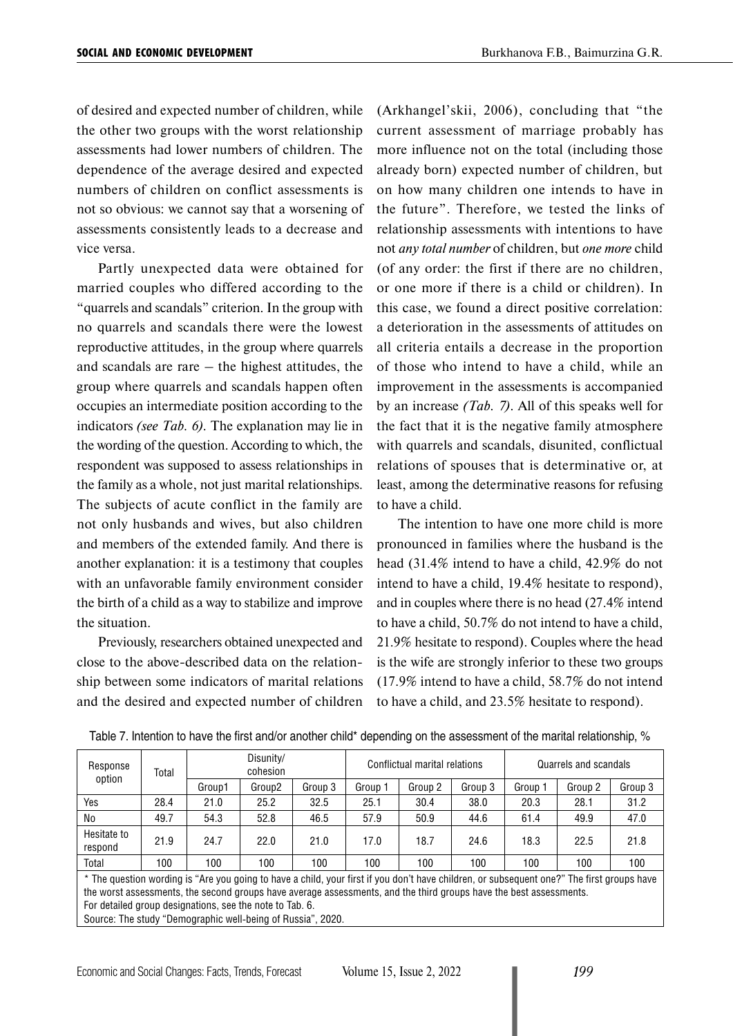of desired and expected number of children, while the other two groups with the worst relationship assessments had lower numbers of children. The dependence of the average desired and expected numbers of children on conflict assessments is not so obvious: we cannot say that a worsening of assessments consistently leads to a decrease and vice versa.

Partly unexpected data were obtained for married couples who differed according to the "quarrels and scandals" criterion. In the group with no quarrels and scandals there were the lowest reproductive attitudes, in the group where quarrels and scandals are rare  $-$  the highest attitudes, the group where quarrels and scandals happen often occupies an intermediate position according to the indicators *(see Tab. 6).* The explanation may lie in the wording of the question. According to which, the respondent was supposed to assess relationships in the family as a whole, not just marital relationships. The subjects of acute conflict in the family are not only husbands and wives, but also children and members of the extended family. And there is another explanation: it is a testimony that couples with an unfavorable family environment consider the birth of a child as a way to stabilize and improve the situation.

Previously, researchers obtained unexpected and close to the above-described data on the relationship between some indicators of marital relations and the desired and expected number of children (Arkhangel'skii, 2006), concluding that "the current assessment of marriage probably has more influence not on the total (including those already born) expected number of children, but on how many children one intends to have in the future". Therefore, we tested the links of relationship assessments with intentions to have not *any total number* of children, but *one more* child (of any order: the first if there are no children, or one more if there is a child or children). In this case, we found a direct positive correlation: a deterioration in the assessments of attitudes on all criteria entails a decrease in the proportion of those who intend to have a child, while an improvement in the assessments is accompanied by an increase *(Tab. 7)*. All of this speaks well for the fact that it is the negative family atmosphere with quarrels and scandals, disunited, conflictual relations of spouses that is determinative or, at least, among the determinative reasons for refusing to have a child.

The intention to have one more child is more pronounced in families where the husband is the head (31.4% intend to have a child, 42.9% do not intend to have a child, 19.4% hesitate to respond), and in couples where there is no head (27.4% intend to have a child, 50.7% do not intend to have a child, 21.9% hesitate to respond). Couples where the head is the wife are strongly inferior to these two groups (17.9% intend to have a child, 58.7% do not intend to have a child, and 23.5% hesitate to respond).

| Response<br>option     | Total                                                                                                                                                                                                                                                                                                                                                                                       | Disunity/<br>cohesion |        |         |         | Conflictual marital relations |         | Quarrels and scandals |         |         |  |
|------------------------|---------------------------------------------------------------------------------------------------------------------------------------------------------------------------------------------------------------------------------------------------------------------------------------------------------------------------------------------------------------------------------------------|-----------------------|--------|---------|---------|-------------------------------|---------|-----------------------|---------|---------|--|
|                        |                                                                                                                                                                                                                                                                                                                                                                                             | Group1                | Group2 | Group 3 | Group 1 | Group 2                       | Group 3 | Group 1               | Group 2 | Group 3 |  |
| Yes                    | 28.4                                                                                                                                                                                                                                                                                                                                                                                        | 21.0                  | 25.2   | 32.5    | 25.1    | 30.4                          | 38.0    | 20.3                  | 28.1    | 31.2    |  |
| No                     | 49.7                                                                                                                                                                                                                                                                                                                                                                                        | 54.3                  | 52.8   | 46.5    | 57.9    | 50.9                          | 44.6    | 61.4                  | 49.9    | 47.0    |  |
| Hesitate to<br>respond | 21.9                                                                                                                                                                                                                                                                                                                                                                                        | 24.7                  | 22.0   | 21.0    | 17.0    | 18.7                          | 24.6    | 18.3                  | 22.5    | 21.8    |  |
| Total                  | 100                                                                                                                                                                                                                                                                                                                                                                                         | 100                   | 100    | 100     | 100     | 100                           | 100     | 100                   | 100     | 100     |  |
|                        | * The question wording is "Are you going to have a child, your first if you don't have children, or subsequent one?" The first groups have<br>the worst assessments, the second groups have average assessments, and the third groups have the best assessments.<br>For detailed group designations, see the note to Tab. 6.<br>Source: The study "Demographic well-being of Russia", 2020. |                       |        |         |         |                               |         |                       |         |         |  |

Table 7. Intention to have the first and/or another child\* depending on the assessment of the marital relationship, %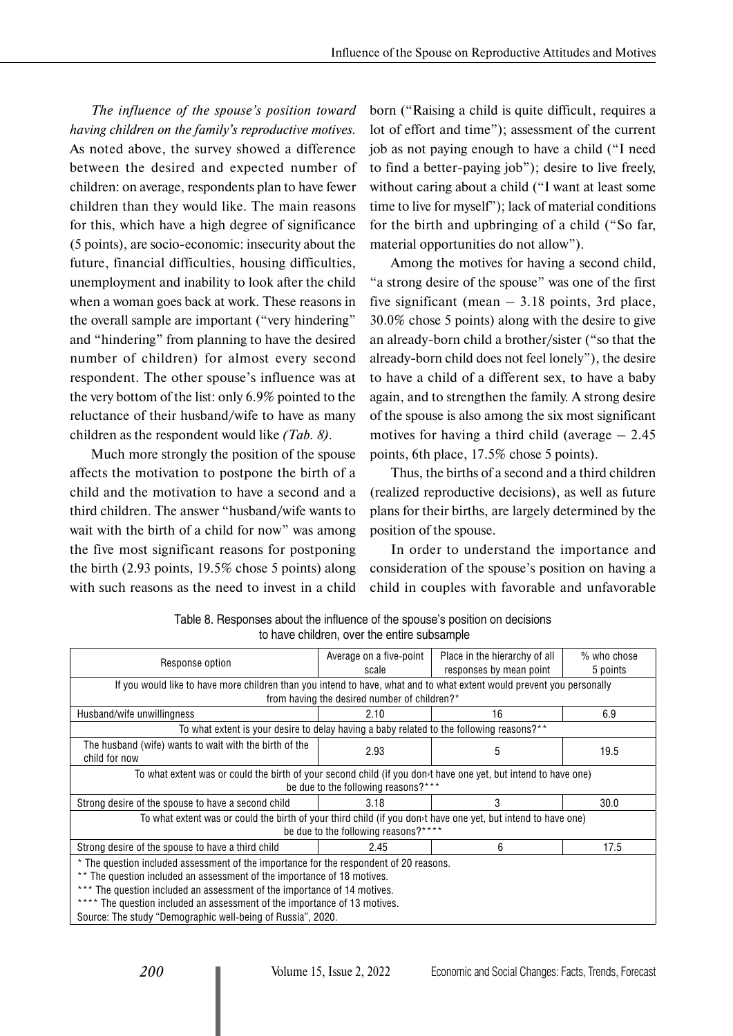*The influence of the spouse's position toward having children on the family's reproductive motives.*  As noted above, the survey showed a difference between the desired and expected number of children: on average, respondents plan to have fewer children than they would like. The main reasons for this, which have a high degree of significance (5 points), are socio-economic: insecurity about the future, financial difficulties, housing difficulties, unemployment and inability to look after the child when a woman goes back at work. These reasons in the overall sample are important ("very hindering" and "hindering" from planning to have the desired number of children) for almost every second respondent. The other spouse's influence was at the very bottom of the list: only 6.9% pointed to the reluctance of their husband/wife to have as many children as the respondent would like *(Tab. 8)*.

Much more strongly the position of the spouse affects the motivation to postpone the birth of a child and the motivation to have a second and a third children. The answer "husband/wife wants to wait with the birth of a child for now" was among the five most significant reasons for postponing the birth (2.93 points, 19.5% chose 5 points) along with such reasons as the need to invest in a child

born ("Raising a child is quite difficult, requires a lot of effort and time"); assessment of the current job as not paying enough to have a child ("I need to find a better-paying job"); desire to live freely, without caring about a child ("I want at least some time to live for myself"); lack of material conditions for the birth and upbringing of a child ("So far, material opportunities do not allow").

Among the motives for having a second child, "a strong desire of the spouse" was one of the first five significant (mean  $-3.18$  points, 3rd place, 30.0% chose 5 points) along with the desire to give an already-born child a brother/sister ("so that the already-born child does not feel lonely"), the desire to have a child of a different sex, to have a baby again, and to strengthen the family. A strong desire of the spouse is also among the six most significant motives for having a third child (average  $-2.45$ ) points, 6th place, 17.5% chose 5 points).

Thus, the births of a second and a third children (realized reproductive decisions), as well as future plans for their births, are largely determined by the position of the spouse.

In order to understand the importance and consideration of the spouse's position on having a child in couples with favorable and unfavorable

| Response option                                                                                                           | Average on a five-point<br>scale             | Place in the hierarchy of all<br>responses by mean point | $%$ who chose<br>5 points |  |  |  |  |  |
|---------------------------------------------------------------------------------------------------------------------------|----------------------------------------------|----------------------------------------------------------|---------------------------|--|--|--|--|--|
| If you would like to have more children than you intend to have, what and to what extent would prevent you personally     |                                              |                                                          |                           |  |  |  |  |  |
|                                                                                                                           | from having the desired number of children?* |                                                          |                           |  |  |  |  |  |
| Husband/wife unwillingness                                                                                                | 2.10                                         | 16                                                       | 6.9                       |  |  |  |  |  |
| To what extent is your desire to delay having a baby related to the following reasons?**                                  |                                              |                                                          |                           |  |  |  |  |  |
| The husband (wife) wants to wait with the birth of the<br>child for now                                                   | 2.93                                         | 5                                                        | 19.5                      |  |  |  |  |  |
| To what extent was or could the birth of your second child (if you don <sup>t</sup> have one yet, but intend to have one) |                                              |                                                          |                           |  |  |  |  |  |
|                                                                                                                           | be due to the following reasons?***          |                                                          |                           |  |  |  |  |  |
| Strong desire of the spouse to have a second child                                                                        | 3.18                                         | 3                                                        | 30.0                      |  |  |  |  |  |
| To what extent was or could the birth of your third child (if you don <sup>t</sup> have one yet, but intend to have one)  |                                              |                                                          |                           |  |  |  |  |  |
|                                                                                                                           | be due to the following reasons?****         |                                                          |                           |  |  |  |  |  |
| Strong desire of the spouse to have a third child                                                                         | 2.45                                         | 6                                                        | 17.5                      |  |  |  |  |  |
| * The question included assessment of the importance for the respondent of 20 reasons.                                    |                                              |                                                          |                           |  |  |  |  |  |
| ** The question included an assessment of the importance of 18 motives.                                                   |                                              |                                                          |                           |  |  |  |  |  |
| *** The question included an assessment of the importance of 14 motives.                                                  |                                              |                                                          |                           |  |  |  |  |  |
| **** The question included an assessment of the importance of 13 motives.                                                 |                                              |                                                          |                           |  |  |  |  |  |
| Source: The study "Demographic well-being of Russia", 2020.                                                               |                                              |                                                          |                           |  |  |  |  |  |

Table 8. Responses about the influence of the spouse's position on decisions to have children, over the entire subsample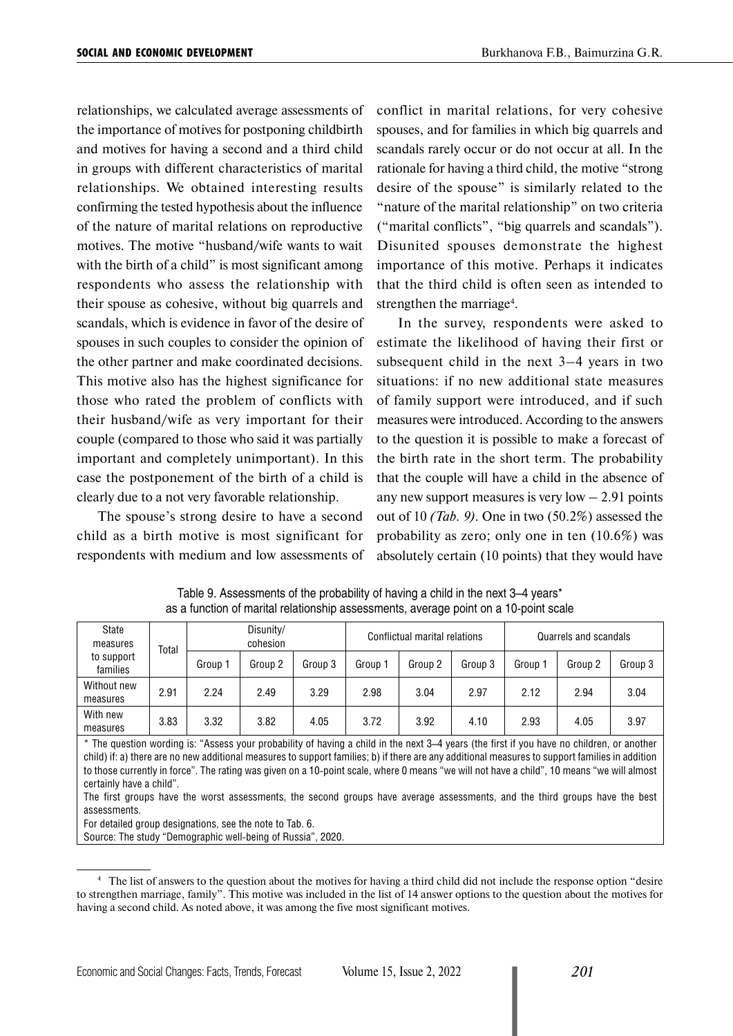relationships, we calculated average assessments of the importance of motives for postponing childbirth and motives for having a second and a third child in groups with different characteristics of marital relationships. We obtained interesting results confirming the tested hypothesis about the influence of the nature of marital relations on reproductive motives. The motive "husband/wife wants to wait with the birth of a child" is most significant among respondents who assess the relationship with their spouse as cohesive, without big quarrels and scandals, which is evidence in favor of the desire of spouses in such couples to consider the opinion of the other partner and make coordinated decisions. This motive also has the highest significance for those who rated the problem of conflicts with their husband/wife as very important for their couple (compared to those who said it was partially important and completely unimportant). In this case the postponement of the birth of a child is clearly due to a not very favorable relationship.

The spouse's strong desire to have a second child as a birth motive is most significant for respondents with medium and low assessments of conflict in marital relations, for very cohesive spouses, and for families in which big quarrels and scandals rarely occur or do not occur at all. In the rationale for having a third child, the motive "strong desire of the spouse" is similarly related to the "nature of the marital relationship" on two criteria ("marital conflicts", "big quarrels and scandals"). Disunited spouses demonstrate the highest importance of this motive. Perhaps it indicates that the third child is often seen as intended to strengthen the marriage<sup>4</sup>.

In the survey, respondents were asked to estimate the likelihood of having their first or subsequent child in the next 3–4 years in two situations: if no new additional state measures of family support were introduced, and if such measures were introduced. According to the answers to the question it is possible to make a forecast of the birth rate in the short term. The probability that the couple will have a child in the absence of any new support measures is very  $low - 2.91$  points out of 10 *(Tab. 9)*. One in two (50.2%) assessed the probability as zero; only one in ten (10.6%) was absolutely certain (10 points) that they would have

| State<br>measures<br>Total |      |         | Disunity/<br>cohesion |         |         | Conflictual marital relations |         |         | Quarrels and scandals |         |
|----------------------------|------|---------|-----------------------|---------|---------|-------------------------------|---------|---------|-----------------------|---------|
| to support<br>families     |      | Group 1 | Group 2               | Group 3 | Group 1 | Group 2                       | Group 3 | Group 1 | Group 2               | Group 3 |
| Without new<br>measures    | 2.91 | 2.24    | 2.49                  | 3.29    | 2.98    | 3.04                          | 2.97    | 2.12    | 2.94                  | 3.04    |
| With new<br>measures       | 3.83 | 3.32    | 3.82                  | 4.05    | 3.72    | 3.92                          | 4.10    | 2.93    | 4.05                  | 3.97    |

Table 9. Assessments of the probability of having a child in the next 3–4 years\* as a function of marital relationship assessments, average point on a 10-point scale

\* The question wording is: "Assess your probability of having a child in the next 3–4 years (the first if you have no children, or another child) if: a) there are no new additional measures to support families; b) if there are any additional measures to support families in addition to those currently in force". The rating was given on a 10-point scale, where 0 means "we will not have a child", 10 means "we will almost certainly have a child".

The first groups have the worst assessments, the second groups have average assessments, and the third groups have the best assessments.

For detailed group designations, see the note to Tab. 6.

Source: The study "Demographic well-being of Russia", 2020.

<sup>4</sup> The list of answers to the question about the motives for having a third child did not include the response option "desire to strengthen marriage, family". This motive was included in the list of 14 answer options to the question about the motives for having a second child. As noted above, it was among the five most significant motives.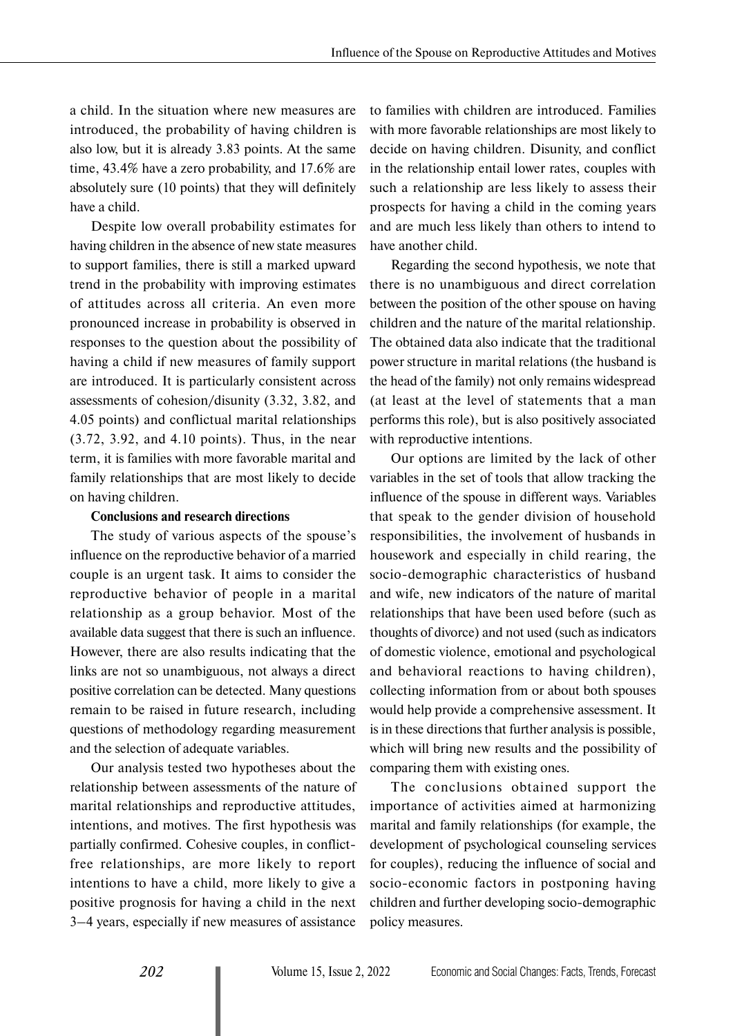a child. In the situation where new measures are introduced, the probability of having children is also low, but it is already 3.83 points. At the same time, 43.4% have a zero probability, and 17.6% are absolutely sure (10 points) that they will definitely have a child.

Despite low overall probability estimates for having children in the absence of new state measures to support families, there is still a marked upward trend in the probability with improving estimates of attitudes across all criteria. An even more pronounced increase in probability is observed in responses to the question about the possibility of having a child if new measures of family support are introduced. It is particularly consistent across assessments of cohesion/disunity (3.32, 3.82, and 4.05 points) and conflictual marital relationships (3.72, 3.92, and 4.10 points). Thus, in the near term, it is families with more favorable marital and family relationships that are most likely to decide on having children.

#### **Conclusions and research directions**

The study of various aspects of the spouse's influence on the reproductive behavior of a married couple is an urgent task. It aims to consider the reproductive behavior of people in a marital relationship as a group behavior. Most of the available data suggest that there is such an influence. However, there are also results indicating that the links are not so unambiguous, not always a direct positive correlation can be detected. Many questions remain to be raised in future research, including questions of methodology regarding measurement and the selection of adequate variables.

Our analysis tested two hypotheses about the relationship between assessments of the nature of marital relationships and reproductive attitudes, intentions, and motives. The first hypothesis was partially confirmed. Cohesive couples, in conflictfree relationships, are more likely to report intentions to have a child, more likely to give a positive prognosis for having a child in the next 3–4 years, especially if new measures of assistance

to families with children are introduced. Families with more favorable relationships are most likely to decide on having children. Disunity, and conflict in the relationship entail lower rates, couples with such a relationship are less likely to assess their prospects for having a child in the coming years and are much less likely than others to intend to have another child.

Regarding the second hypothesis, we note that there is no unambiguous and direct correlation between the position of the other spouse on having children and the nature of the marital relationship. The obtained data also indicate that the traditional power structure in marital relations (the husband is the head of the family) not only remains widespread (at least at the level of statements that a man performs this role), but is also positively associated with reproductive intentions.

Our options are limited by the lack of other variables in the set of tools that allow tracking the influence of the spouse in different ways. Variables that speak to the gender division of household responsibilities, the involvement of husbands in housework and especially in child rearing, the socio-demographic characteristics of husband and wife, new indicators of the nature of marital relationships that have been used before (such as thoughts of divorce) and not used (such as indicators of domestic violence, emotional and psychological and behavioral reactions to having children), collecting information from or about both spouses would help provide a comprehensive assessment. It is in these directions that further analysis is possible, which will bring new results and the possibility of comparing them with existing ones.

The conclusions obtained support the importance of activities aimed at harmonizing marital and family relationships (for example, the development of psychological counseling services for couples), reducing the influence of social and socio-economic factors in postponing having children and further developing socio-demographic policy measures.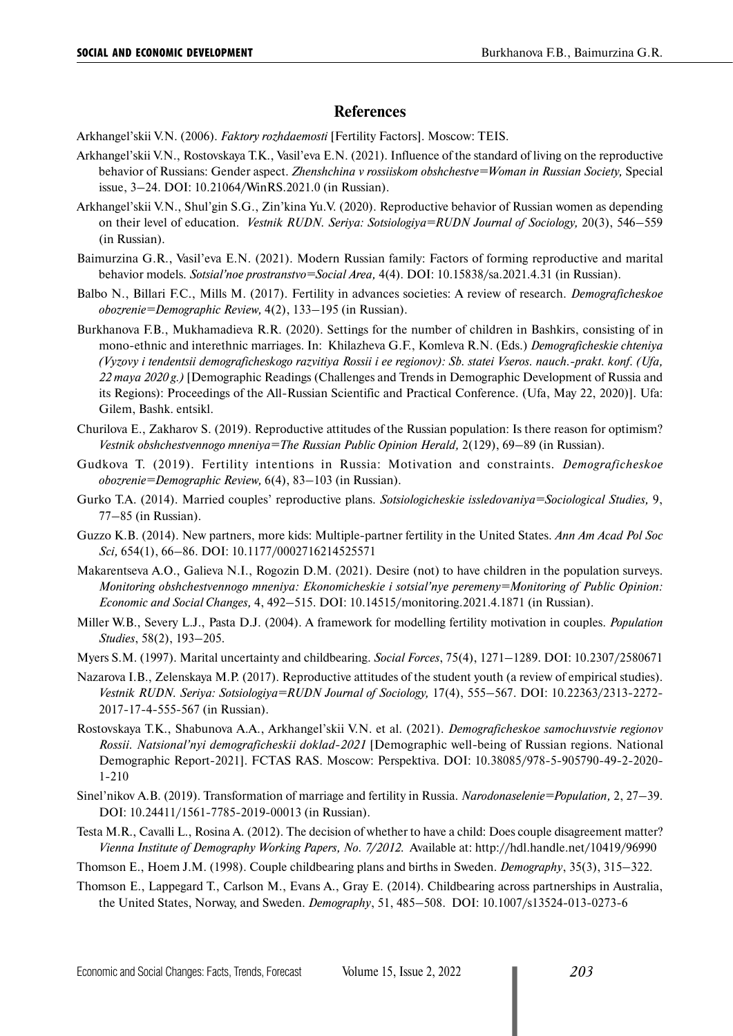## **References**

Arkhangel'skii V.N. (2006). *Faktory rozhdaemosti* [Fertility Factors]. Moscow: TEIS.

- Arkhangel'skii V.N., Rostovskaya T.K., Vasil'eva E.N. (2021). Influence of the standard of living on the reproductive behavior of Russians: Gender aspect. *Zhenshchina v rossiiskom obshchestve=Woman in Russian Society,* Special issue, 3–24. DOI: 10.21064/WinRS.2021.0 (in Russian).
- Arkhangel'skii V.N., Shul'gin S.G., Zin'kina Yu.V. (2020). Reproductive behavior of Russian women as depending on their level of education. *Vestnik RUDN. Seriya: Sotsiologiya=RUDN Journal of Sociology,* 20(3), 546–559 (in Russian).
- Baimurzina G.R., Vasil'eva E.N. (2021). Modern Russian family: Factors of forming reproductive and marital behavior models. *Sotsial'noe prostranstvo=Social Area,* 4(4). DOI: 10.15838/sa.2021.4.31 (in Russian).
- Balbo N., Billari F.C., Mills M. (2017). Fertility in advances societies: A review of research. *Demograficheskoe obozrenie=Demographic Review,* 4(2), 133–195 (in Russian).
- Burkhanova F.B., Mukhamadieva R.R. (2020). Settings for the number of children in Bashkirs, consisting of in mono-ethnic and interethnic marriages. In: Khilazheva G.F., Komleva R.N. (Eds.) *Demograficheskie chteniya (Vyzovy i tendentsii demograficheskogo razvitiya Rossii i ee regionov): Sb. statei Vseros. nauch.-prakt. konf. (Ufa, 22 maya 2020 g.)* [Demographic Readings (Challenges and Trends in Demographic Development of Russia and its Regions): Proceedings of the All-Russian Scientific and Practical Conference. (Ufa, May 22, 2020)]. Ufa: Gilem, Bashk. entsikl.
- Churilova E., Zakharov S. (2019). Reproductive attitudes of the Russian population: Is there reason for optimism? *Vestnik obshchestvennogo mneniya=The Russian Public Opinion Herald,* 2(129), 69–89 (in Russian).
- Gudkova T. (2019). Fertility intentions in Russia: Motivation and constraints. *Demograficheskoe obozrenie=Demographic Review,* 6(4), 83–103 (in Russian).
- Gurko T.A. (2014). Married couples' reproductive plans. *Sotsiologicheskie issledovaniya=Sociological Studies,* 9, 77–85 (in Russian).
- Guzzo K.B. (2014). New partners, more kids: Multiple-partner fertility in the United States. *Ann Am Acad Pol Soc Sci,* 654(1), 66–86. DOI: 10.1177/0002716214525571
- Makarentseva A.O., Galieva N.I., Rogozin D.M. (2021). Desire (not) to have children in the population surveys. *Monitoring obshchestvennogo mneniya: Ekonomicheskie i sotsial'nye peremeny=Monitoring of Public Opinion: Economic and Social Changes,* 4, 492–515. DOI: [10.14515/monitoring.2021.4.1871](https://www.doi.org/10.14515/monitoring.2021.4.1871) (in Russian).
- Miller W.B., Severy L.J., Pasta D.J. (2004). A framework for modelling fertility motivation in couples. *Population Studies*, 58(2), 193–205.
- Myers S.M. (1997). Marital uncertainty and childbearing. *Social Forces*, 75(4), 1271–1289. DOI: 10.2307/2580671
- Nazarova I.B., Zelenskaya M.P. (2017). Reproductive attitudes of the student youth (a review of empirical studies). *Vestnik RUDN. Seriya: Sotsiologiya=RUDN Journal of Sociology,* 17(4), 555–567. DOI: 10.22363/2313-2272- 2017-17-4-555-567 (in Russian).
- Rostovskaya T.K., Shabunova A.A., Arkhangel'skii V.N. et al. (2021). *Demograficheskoe samochuvstvie regionov Rossii. Natsional'nyi demograficheskii doklad-2021* [Demographic well-being of Russian regions. National Demographic Report-2021]. FCTAS RAS. Moscow: Perspektiva. DOI: 10.38085/978-5-905790-49-2-2020- 1-210
- Sinel'nikov A.B. (2019). Transformation of marriage and fertility in Russia. *Narodonaselenie=Population,* 2, 27–39. DOI: 10.24411/1561-7785-2019-00013 (in Russian).
- Testa M.R., Cavalli L., Rosina A. (2012). The decision of whether to have a child: Does couple disagreement matter? *Vienna Institute of Demography Working Papers, No. 7/2012*. Available at: <http://hdl.handle.net/10419/96990>
- Thomson E., Hoem J.M. (1998). Couple childbearing plans and births in Sweden. *Demоgraphy*, 35(3), 315–322.
- Thomson E., Lappegard T., Carlson M., Evans A., Gray E. (2014). Childbearing across partnerships in Australia, the United States, Norway, and Sweden. *Demography*, 51, 485–508. DOI: 10.1007/s13524-013-0273-6